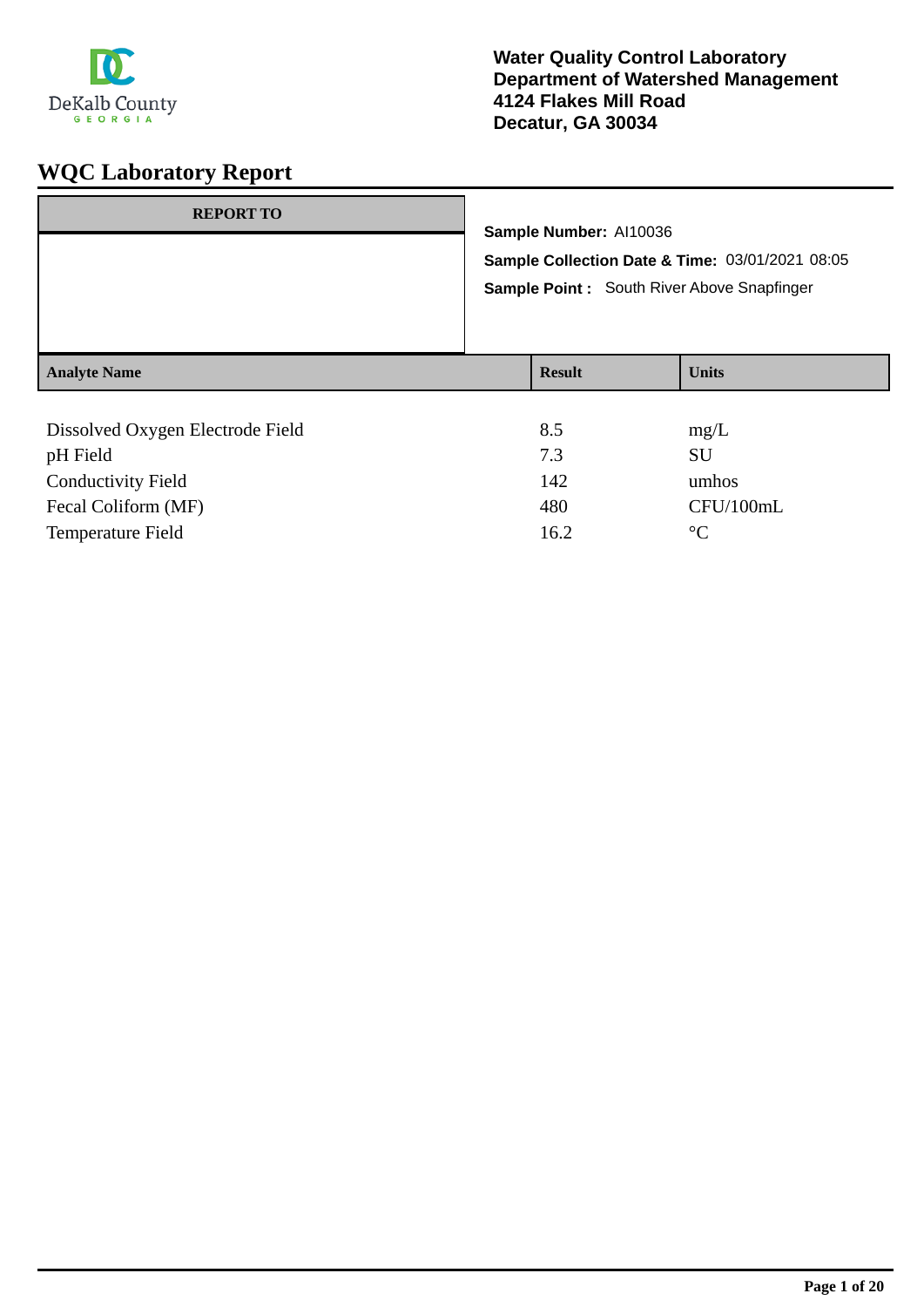

| <b>REPORT TO</b>                             | Sample Number: Al10036<br>Sample Collection Date & Time: 03/01/2021 08:05<br>Sample Point: South River Above Snapfinger |              |
|----------------------------------------------|-------------------------------------------------------------------------------------------------------------------------|--------------|
| <b>Analyte Name</b>                          | <b>Result</b>                                                                                                           | <b>Units</b> |
| Dissolved Oxygen Electrode Field<br>pH Field | 8.5<br>7.3                                                                                                              | mg/L<br>SU   |

| <b>DH FIEIU</b>           |      | ðυ        |
|---------------------------|------|-----------|
| <b>Conductivity Field</b> | 142  | umhos     |
| Fecal Coliform (MF)       | 480  | CFU/100mL |
| Temperature Field         | 16.2 | $\circ$ C |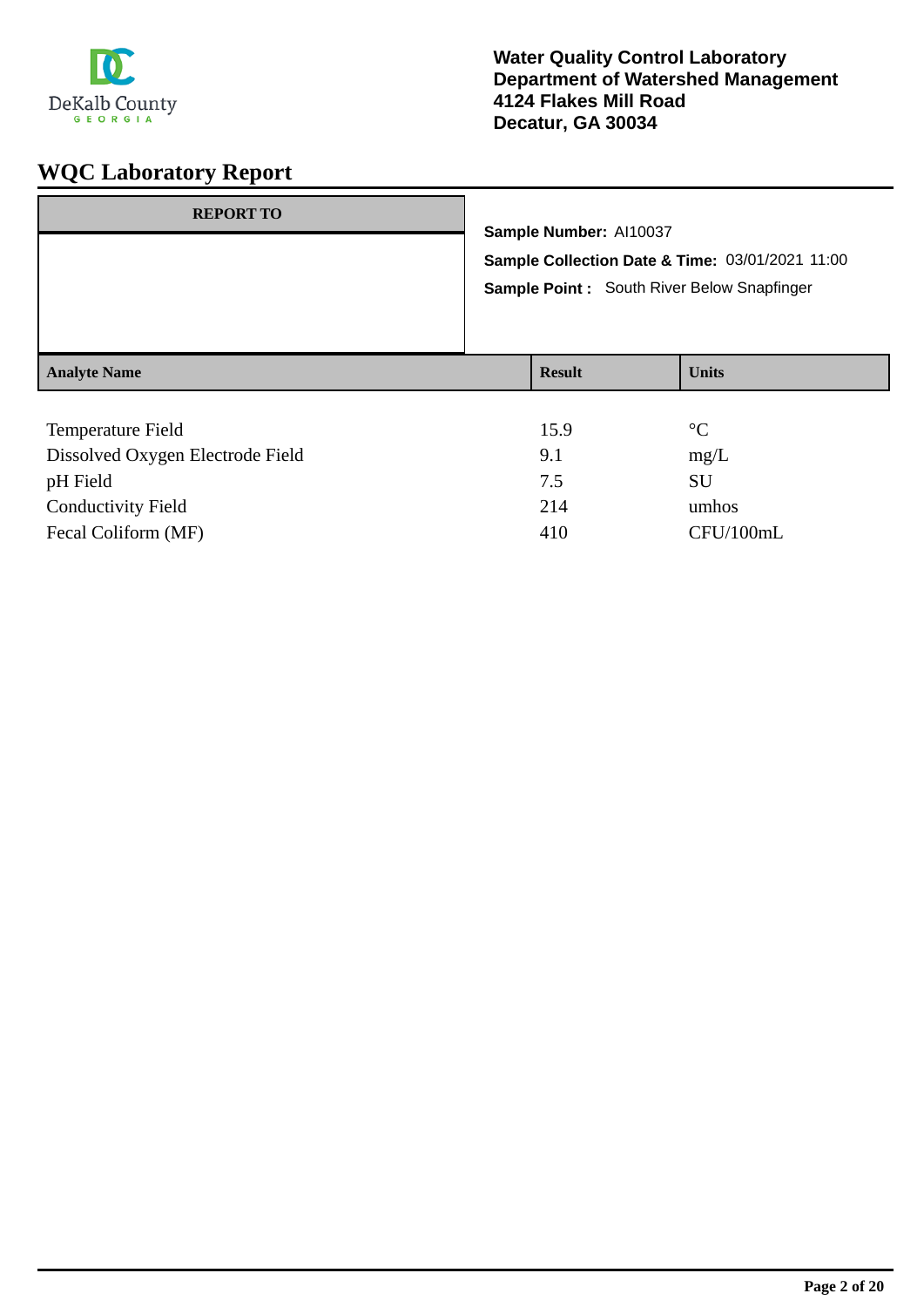

| <b>REPORT TO</b>         | Sample Number: Al10037                                                                        |                 |  |
|--------------------------|-----------------------------------------------------------------------------------------------|-----------------|--|
|                          | Sample Collection Date & Time: 03/01/2021 11:00<br>Sample Point: South River Below Snapfinger |                 |  |
| <b>Analyte Name</b>      | <b>Result</b>                                                                                 | <b>Units</b>    |  |
| <b>Temperature Field</b> | 15.9                                                                                          | $\rm ^{\circ}C$ |  |

| Temperature Field                | 15.9 | - 1       |
|----------------------------------|------|-----------|
| Dissolved Oxygen Electrode Field | 9.1  | mg/L      |
| pH Field                         | 7.5  | SU        |
| <b>Conductivity Field</b>        | 214  | umhos     |
| Fecal Coliform (MF)              | 410  | CFU/100mL |
|                                  |      |           |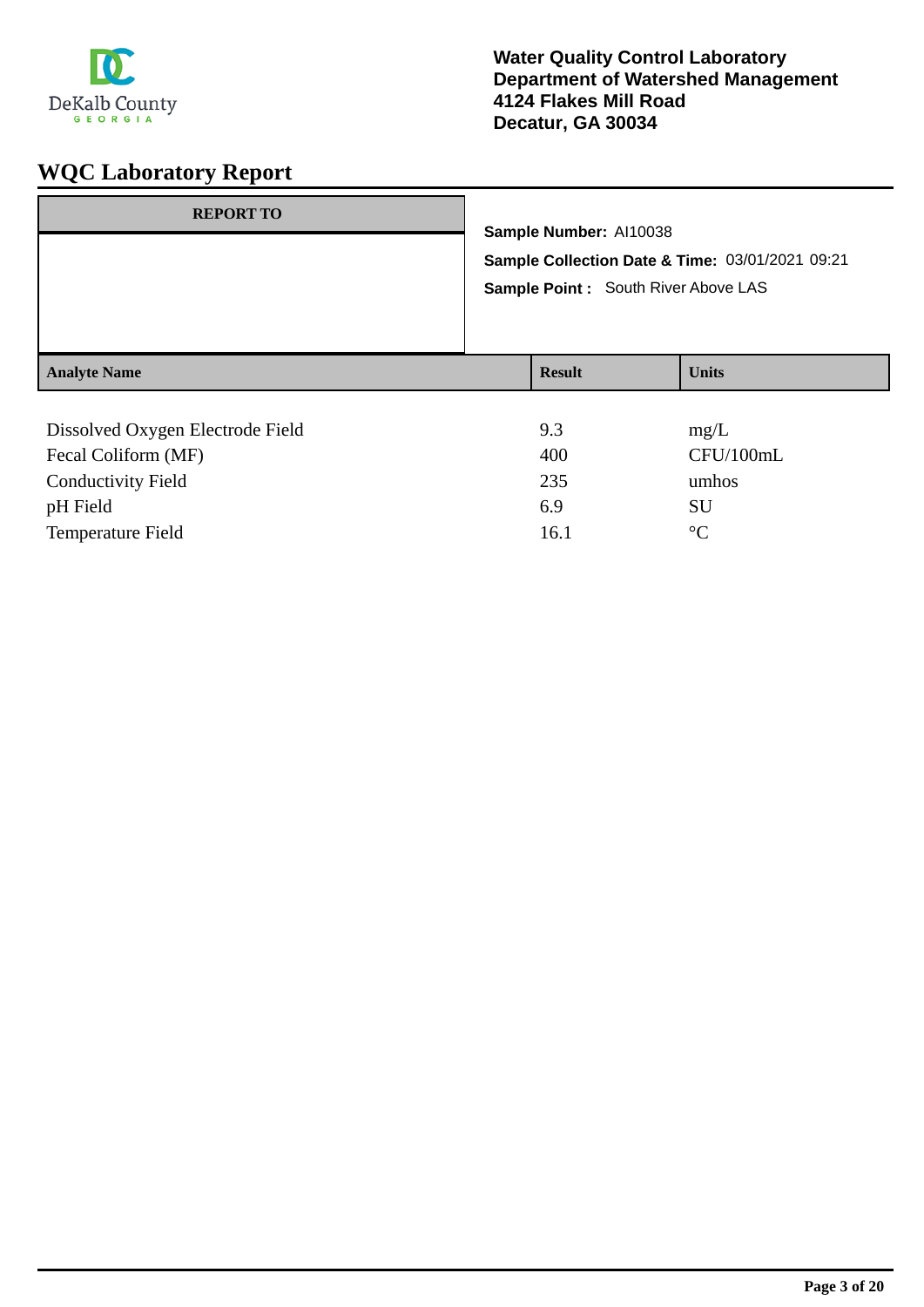

| <b>REPORT TO</b>                 | Sample Number: Al10038<br>Sample Point : South River Above LAS | Sample Collection Date & Time: 03/01/2021 09:21 |
|----------------------------------|----------------------------------------------------------------|-------------------------------------------------|
| <b>Analyte Name</b>              | <b>Result</b>                                                  | <b>Units</b>                                    |
| Dissolved Oxygen Electrode Field | 9.3                                                            | mg/L                                            |

| Dissolved Oxygen Electrode Field | 9.3  | $\text{Hig/L}$ |
|----------------------------------|------|----------------|
| Fecal Coliform (MF)              | 400  | CFU/100mL      |
| <b>Conductivity Field</b>        | 235  | umhos          |
| pH Field                         | 6.9  | SU             |
| Temperature Field                | 16.1 | $^{\circ}C$    |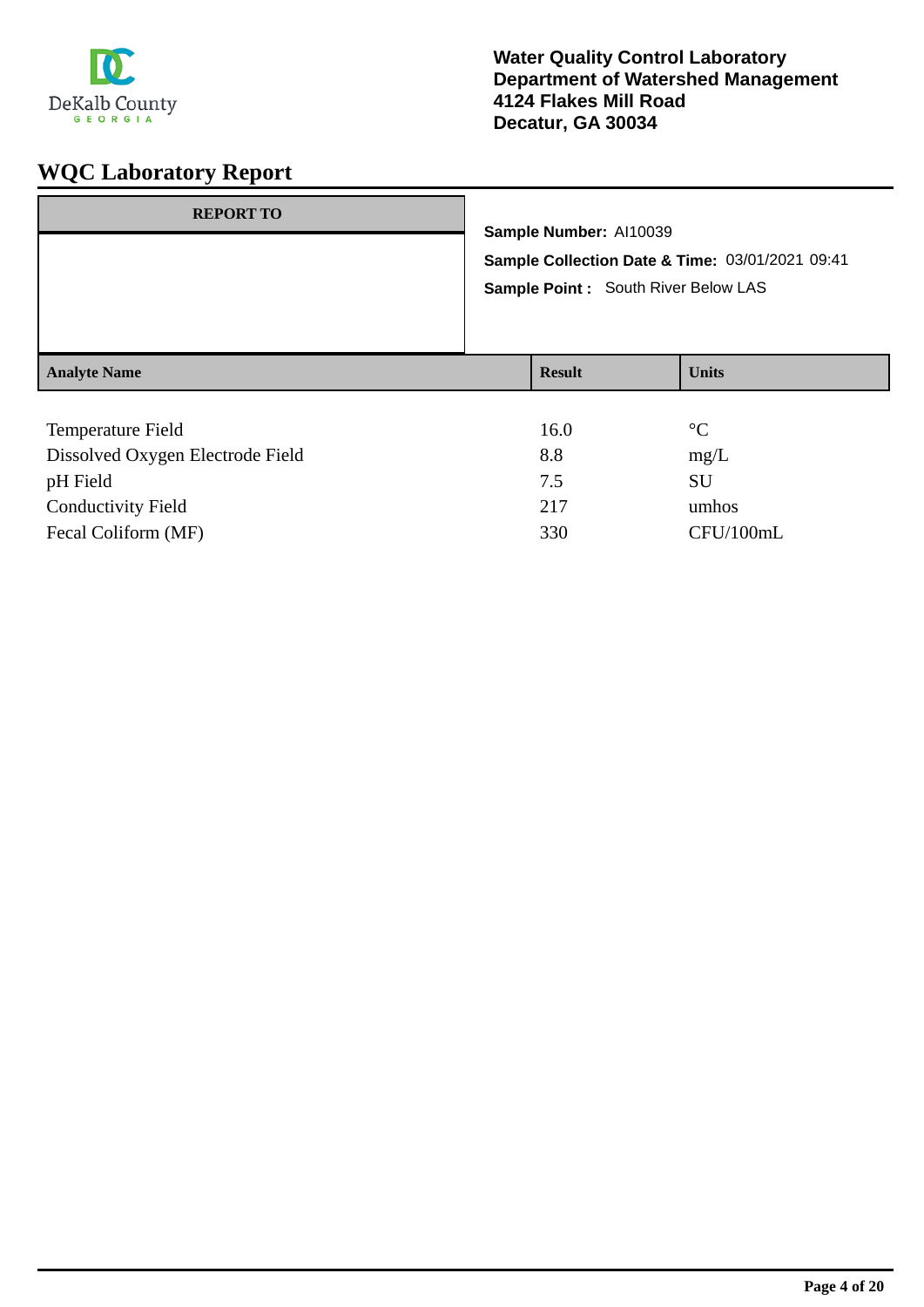

| <b>REPORT TO</b>    | Sample Number: Al10039<br>Sample Point : South River Below LAS | Sample Collection Date & Time: 03/01/2021 09:41 |
|---------------------|----------------------------------------------------------------|-------------------------------------------------|
| <b>Analyte Name</b> | <b>Result</b>                                                  | <b>Units</b>                                    |
| $\mathbf{r}$        | $1 \times \Omega$                                              | $\sim$                                          |

| <b>Temperature Field</b>         | 16.0 | $\rm ^{\circ}C$ |
|----------------------------------|------|-----------------|
| Dissolved Oxygen Electrode Field | 8.8  | mg/L            |
| pH Field                         | 7.5  | SU              |
| <b>Conductivity Field</b>        | 217  | umhos           |
| Fecal Coliform (MF)              | 330  | CFU/100mL       |
|                                  |      |                 |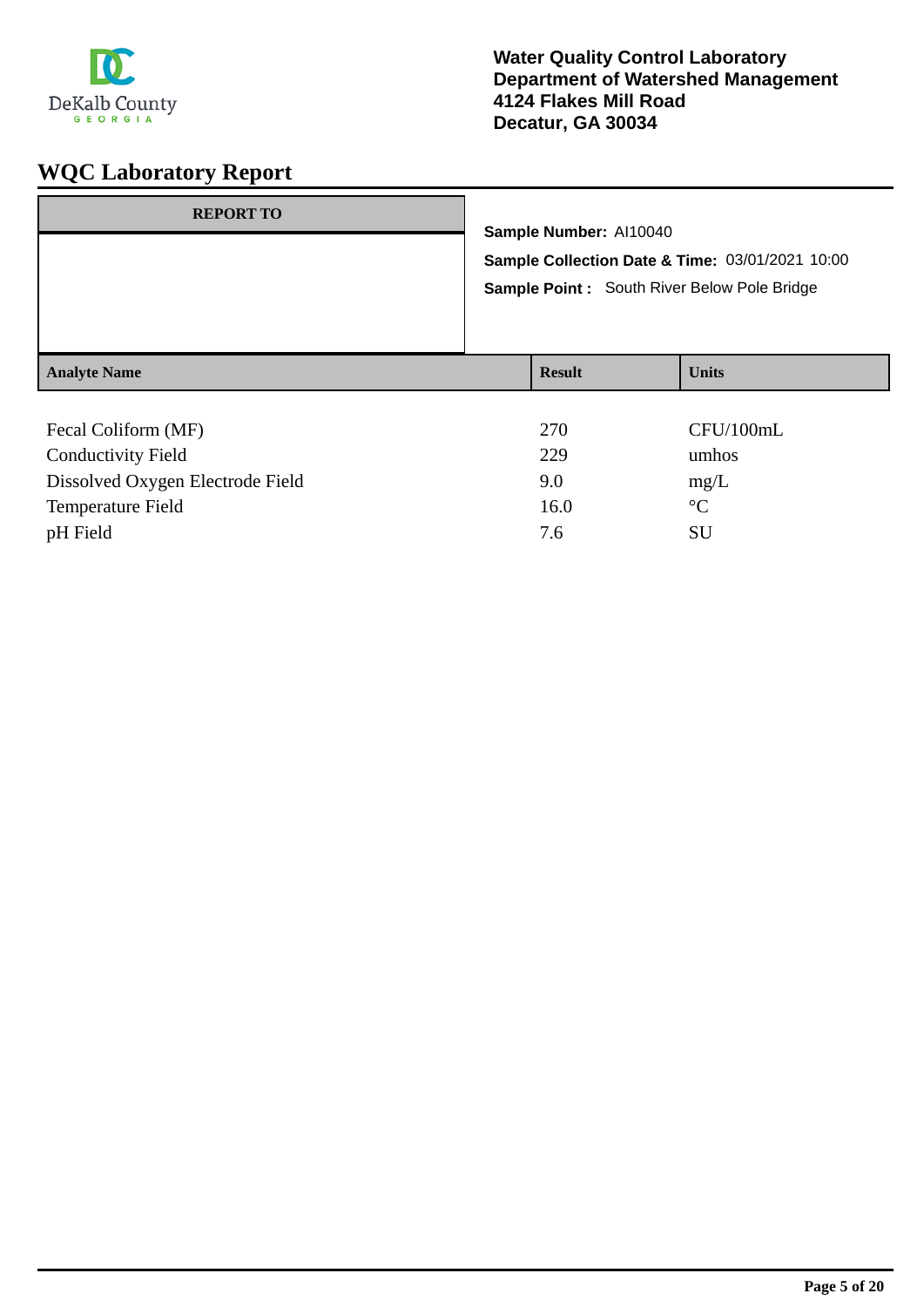

| <b>REPORT TO</b>    | Sample Number: Al10040<br>Sample Collection Date & Time: 03/01/2021 10:00<br>Sample Point : South River Below Pole Bridge |               |              |
|---------------------|---------------------------------------------------------------------------------------------------------------------------|---------------|--------------|
| <b>Analyte Name</b> |                                                                                                                           | <b>Result</b> | <b>Units</b> |
| Fecal Coliform (MF) |                                                                                                                           | 270           | CFU/100mL    |

| Tecal Comonic (MIT)              | 210  | CI'U/IUUIIIL    |
|----------------------------------|------|-----------------|
| <b>Conductivity Field</b>        | 229  | umhos           |
| Dissolved Oxygen Electrode Field | 9.0  | mg/L            |
| Temperature Field                | 16.0 | $\rm ^{\circ}C$ |
| pH Field                         | 7.6  | SU              |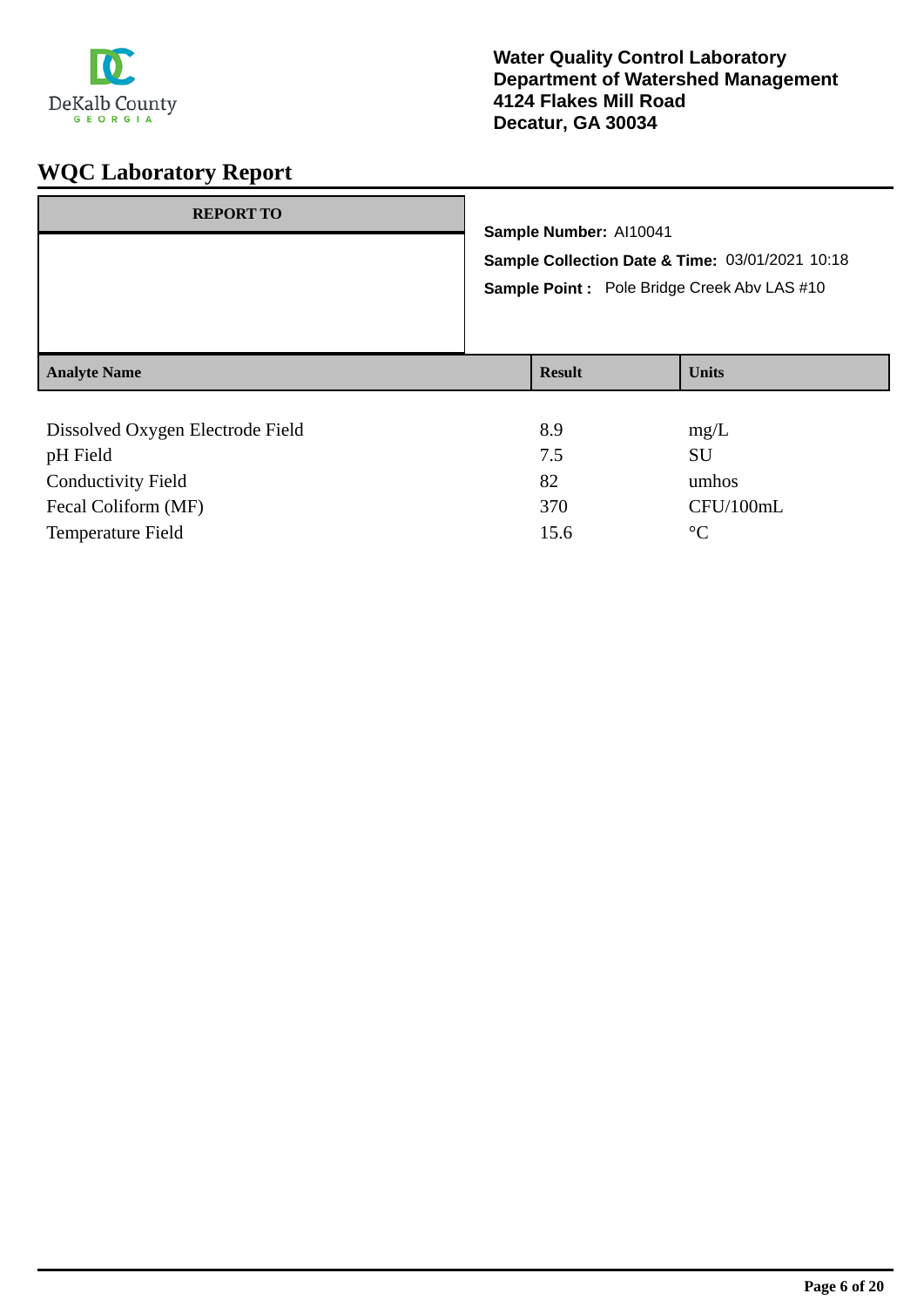

| <b>REPORT TO</b>                 | Sample Number: Al10041 | Sample Collection Date & Time: 03/01/2021 10:18<br>Sample Point : Pole Bridge Creek Abv LAS #10 |
|----------------------------------|------------------------|-------------------------------------------------------------------------------------------------|
| <b>Analyte Name</b>              | <b>Result</b>          | <b>Units</b>                                                                                    |
| Dissolved Oxygen Electrode Field | 8.9                    | mg/L                                                                                            |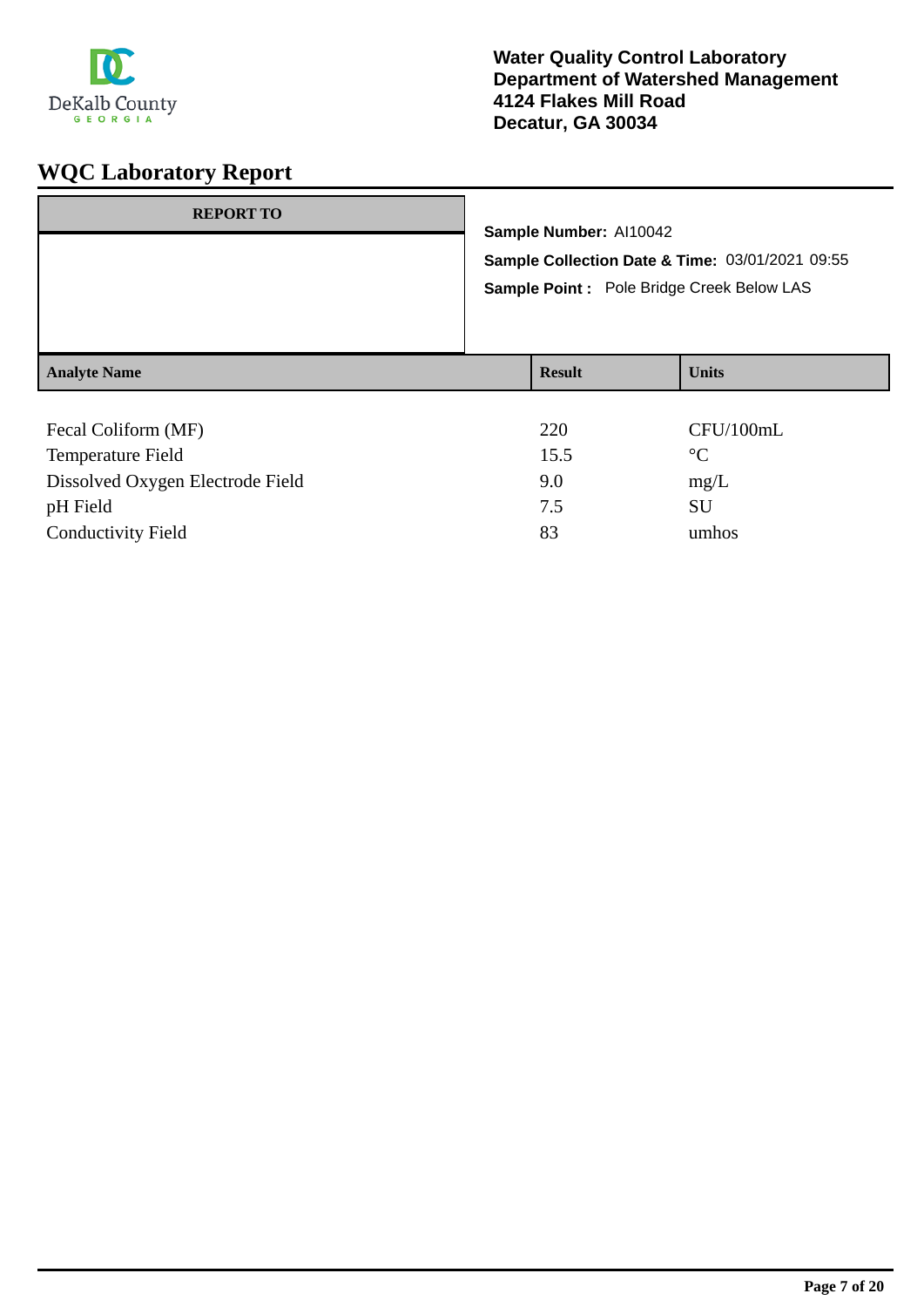

| <b>REPORT TO</b>    | Sample Number: Al10042<br>Sample Collection Date & Time: 03/01/2021 09:55<br>Sample Point : Pole Bridge Creek Below LAS |               |              |
|---------------------|-------------------------------------------------------------------------------------------------------------------------|---------------|--------------|
| <b>Analyte Name</b> |                                                                                                                         | <b>Result</b> | <b>Units</b> |
| Fecal Coliform (MF) |                                                                                                                         | 220           | CFU/100mL    |

| <b>FECAL COLLIQUILI (IVIF)</b>   | ZZU  | CPU/100III        |
|----------------------------------|------|-------------------|
| Temperature Field                | 15.5 | $^{\circ}{\rm C}$ |
| Dissolved Oxygen Electrode Field | 9.0  | mg/L              |
| pH Field                         | 7.5  | SU                |
| <b>Conductivity Field</b>        | 83   | umhos             |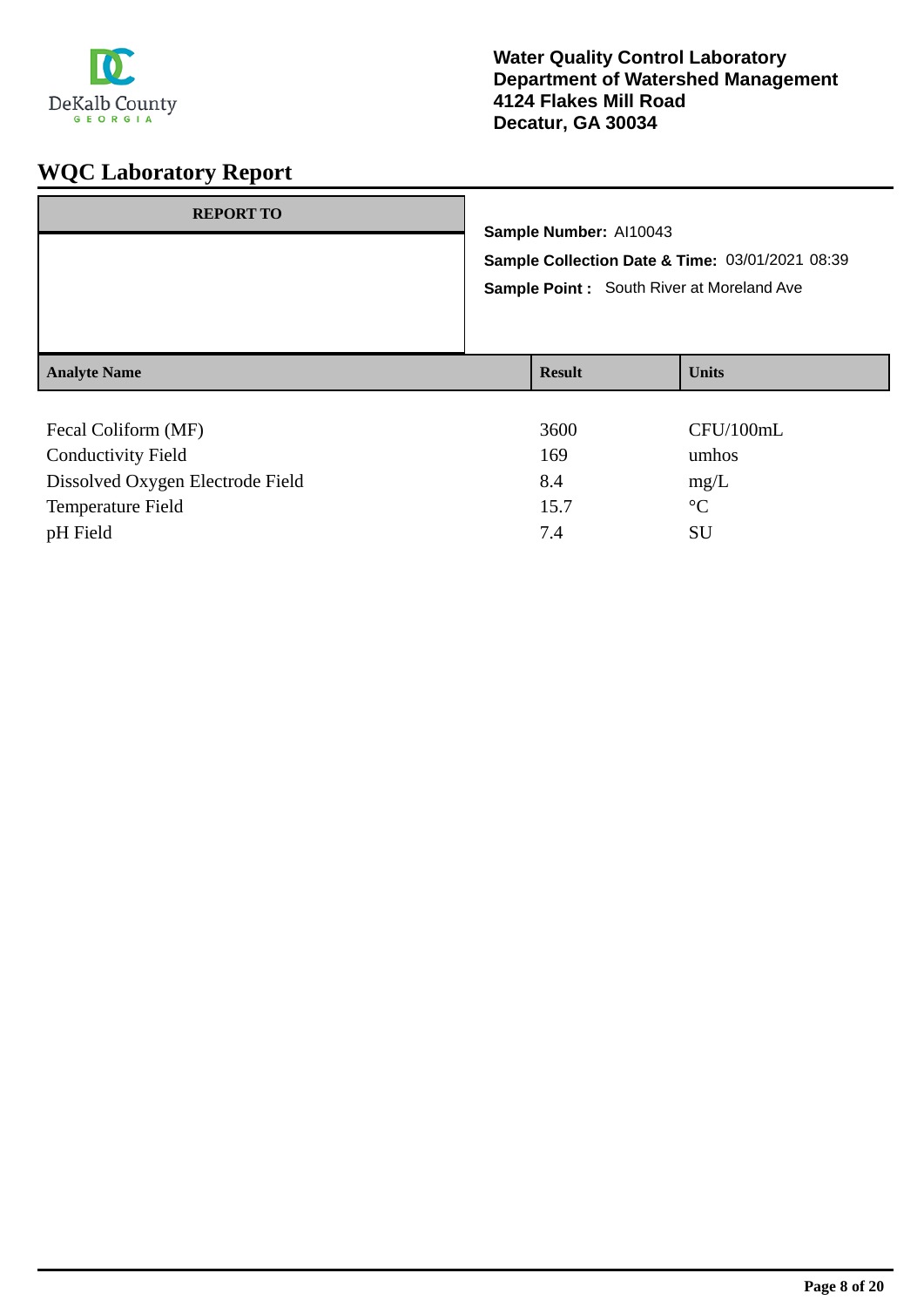

| <b>REPORT TO</b>    | Sample Number: Al10043 | Sample Collection Date & Time: 03/01/2021 08:39<br><b>Sample Point:</b> South River at Moreland Ave |
|---------------------|------------------------|-----------------------------------------------------------------------------------------------------|
| <b>Analyte Name</b> | <b>Result</b>          | <b>Units</b>                                                                                        |
| Fecal Coliform (MF) | 3600                   | CFU/100mL                                                                                           |

| <b>Conductivity Field</b>        | 169  | umhos       |
|----------------------------------|------|-------------|
| Dissolved Oxygen Electrode Field | 8.4  | mg/L        |
| Temperature Field                | 15.7 | $^{\circ}C$ |
| pH Field                         | 74   | SU          |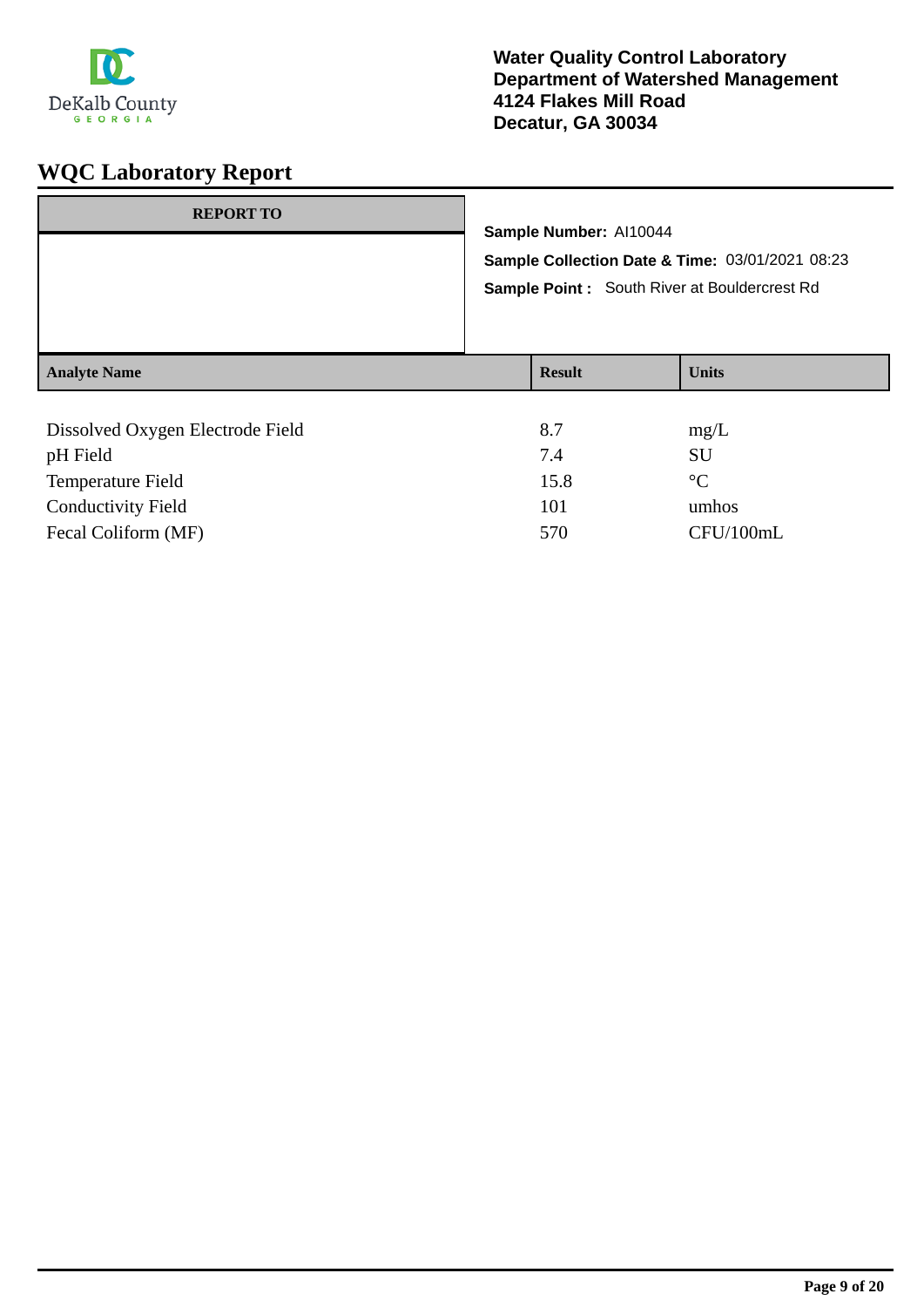

| <b>REPORT TO</b>                                             | Sample Number: Al10044 | Sample Collection Date & Time: 03/01/2021 08:23<br>Sample Point: South River at Bouldercrest Rd |
|--------------------------------------------------------------|------------------------|-------------------------------------------------------------------------------------------------|
| <b>Analyte Name</b>                                          | <b>Result</b>          | <b>Units</b>                                                                                    |
| Dissolved Oxygen Electrode Field<br>$\sim$ III ES $\sim$ 1.4 | 8.7<br>7 <sub>1</sub>  | mg/L<br><b>CTT</b>                                                                              |

| pH Field                  | 7.4  | SU        |
|---------------------------|------|-----------|
| <b>Temperature Field</b>  | 15.8 | $\circ$ C |
| <b>Conductivity Field</b> | 101  | umhos     |
| Fecal Coliform (MF)       | 570  | CFU/100mL |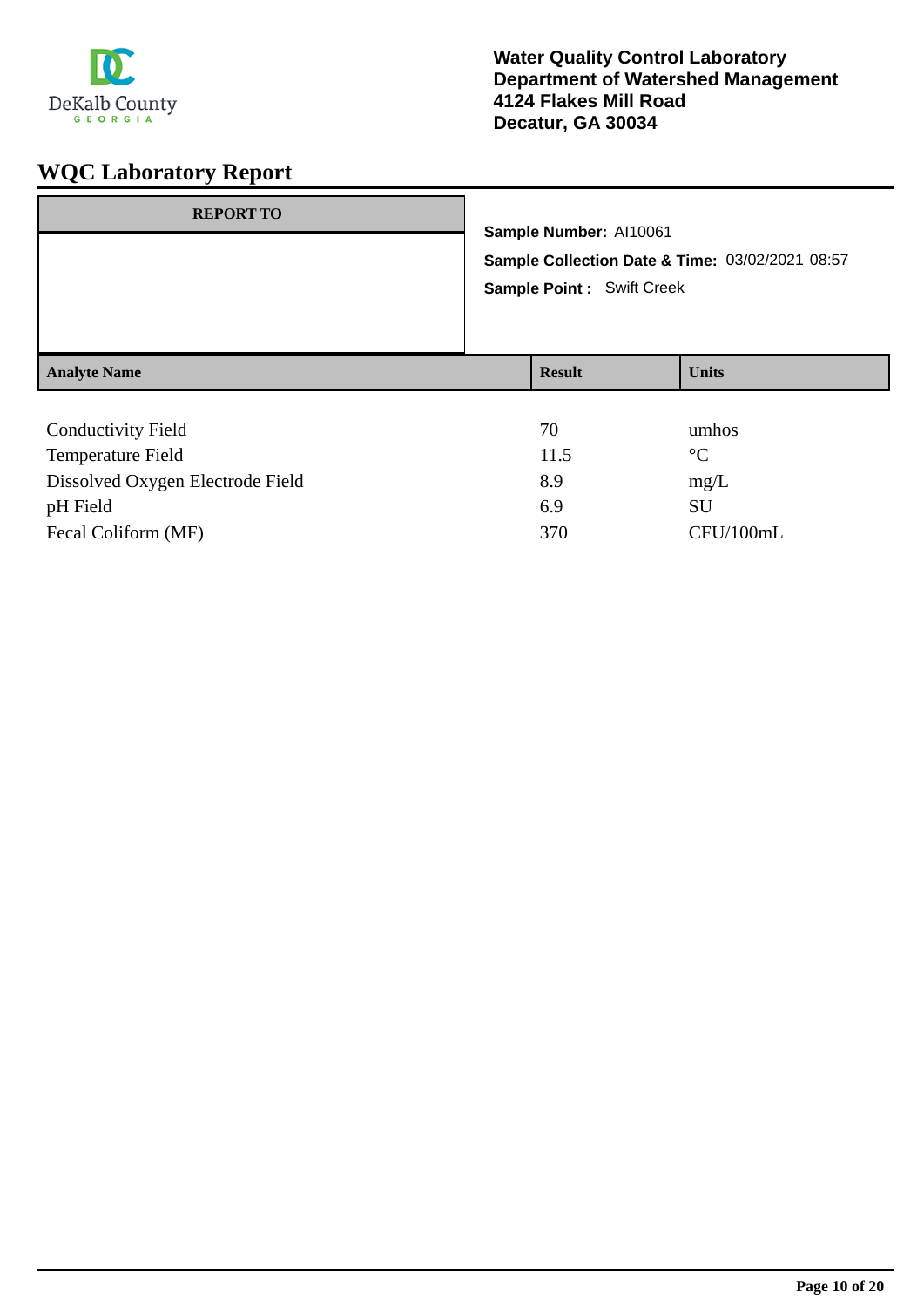

| <b>REPORT TO</b>          |                                                                                     | Sample Number: Al10061 |                 |
|---------------------------|-------------------------------------------------------------------------------------|------------------------|-----------------|
|                           |                                                                                     |                        |                 |
|                           | Sample Collection Date & Time: 03/02/2021 08:57<br><b>Sample Point: Swift Creek</b> |                        |                 |
|                           |                                                                                     |                        |                 |
| <b>Analyte Name</b>       |                                                                                     | <b>Result</b>          | <b>Units</b>    |
|                           |                                                                                     |                        |                 |
| <b>Conductivity Field</b> |                                                                                     | 70                     | umhos           |
| Temperature Field         |                                                                                     | 11.5                   | $\rm ^{\circ}C$ |

| Temperature Field                | 11.5 | $\circ$ C |
|----------------------------------|------|-----------|
| Dissolved Oxygen Electrode Field | 8.9  | mg/L      |
| pH Field                         | 69   | -SU       |
| Fecal Coliform (MF)              | 370  | CFU/100mL |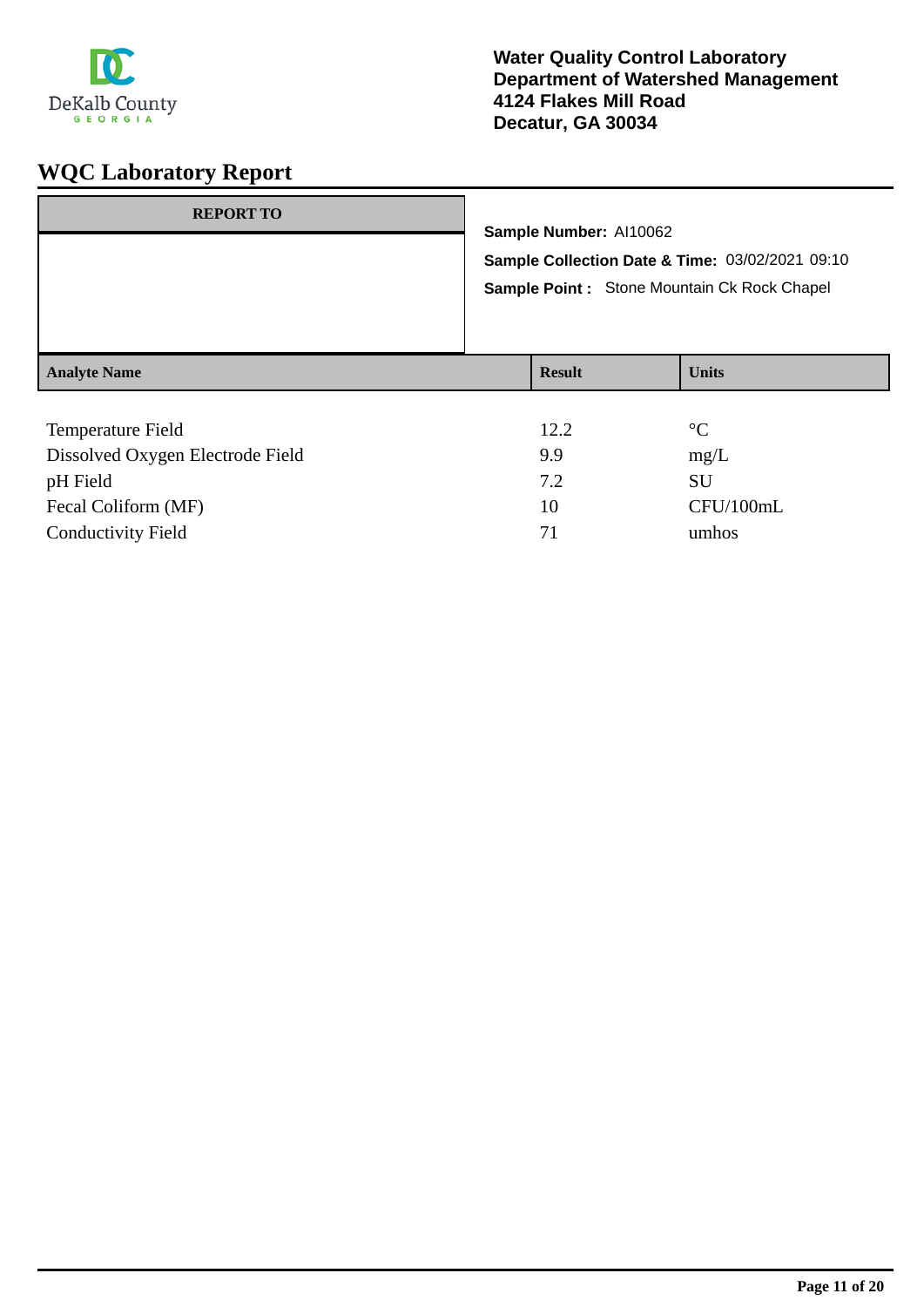

| <b>REPORT TO</b>    | Sample Number: Al10062<br>Sample Collection Date & Time: 03/02/2021 09:10<br>Sample Point : Stone Mountain Ck Rock Chapel |               |              |
|---------------------|---------------------------------------------------------------------------------------------------------------------------|---------------|--------------|
| <b>Analyte Name</b> |                                                                                                                           | <b>Result</b> | <b>Units</b> |
| T1.11               |                                                                                                                           | $1 \cap \cap$ | $\Omega$     |

| Temperature Field                | 12.2 | $\circ$ C |
|----------------------------------|------|-----------|
| Dissolved Oxygen Electrode Field | 9.9  | mg/L      |
| pH Field                         | 7.2  | SU        |
| Fecal Coliform (MF)              | 10   | CFU/100mL |
| <b>Conductivity Field</b>        | 71   | umhos     |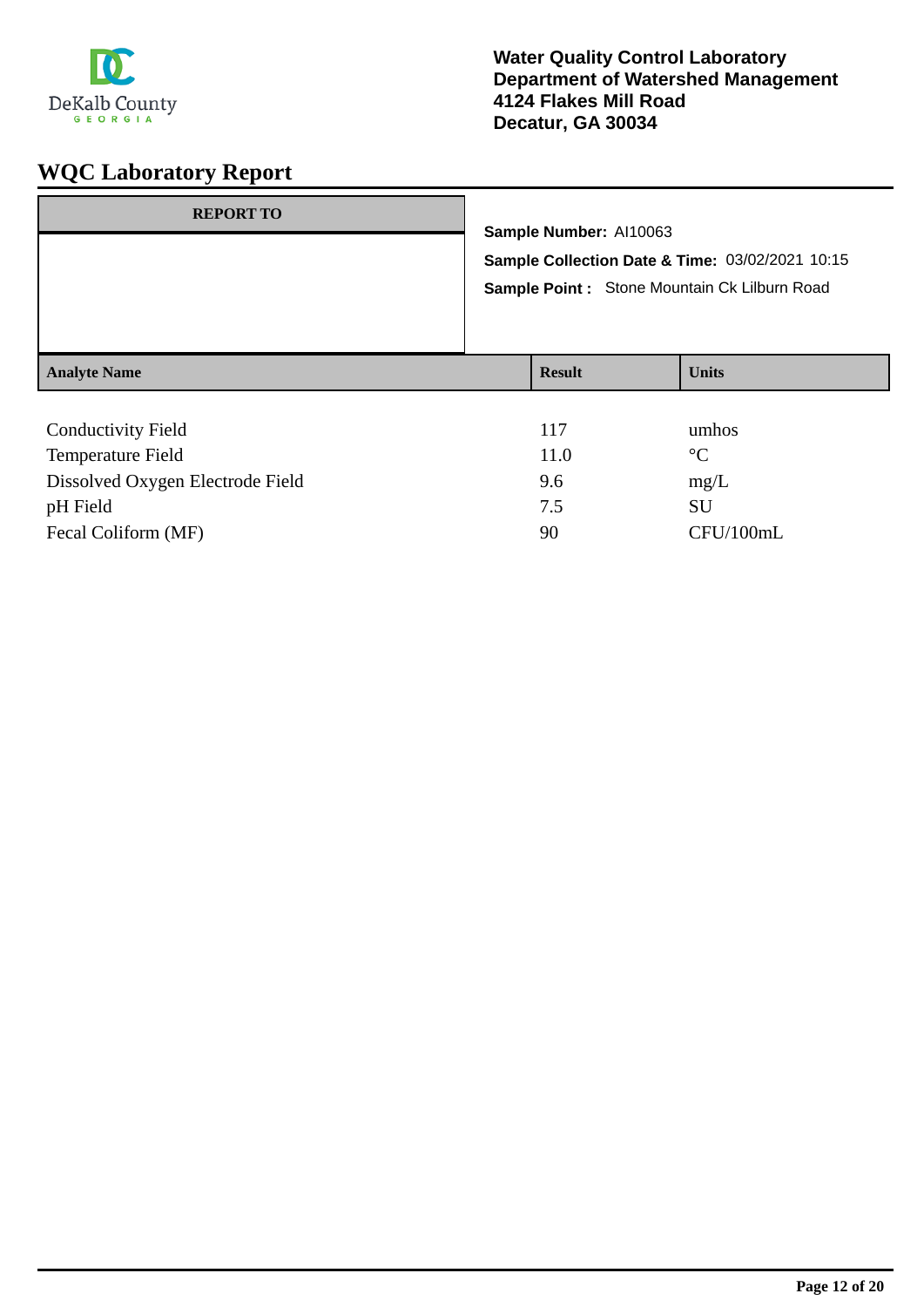

| <b>REPORT TO</b>          | Sample Number: Al10063 | Sample Collection Date & Time: 03/02/2021 10:15<br>Sample Point: Stone Mountain Ck Lilburn Road |
|---------------------------|------------------------|-------------------------------------------------------------------------------------------------|
| <b>Analyte Name</b>       | <b>Result</b>          | <b>Units</b>                                                                                    |
| <b>Conductivity Field</b> | 117                    | umhos                                                                                           |

| Temperature Field                | 11.0 | $^{\circ}C$ |
|----------------------------------|------|-------------|
| Dissolved Oxygen Electrode Field | 9.6  | mg/L        |
| pH Field                         | 7.5  | SU          |
| Fecal Coliform (MF)              | 90   | CFU/100mL   |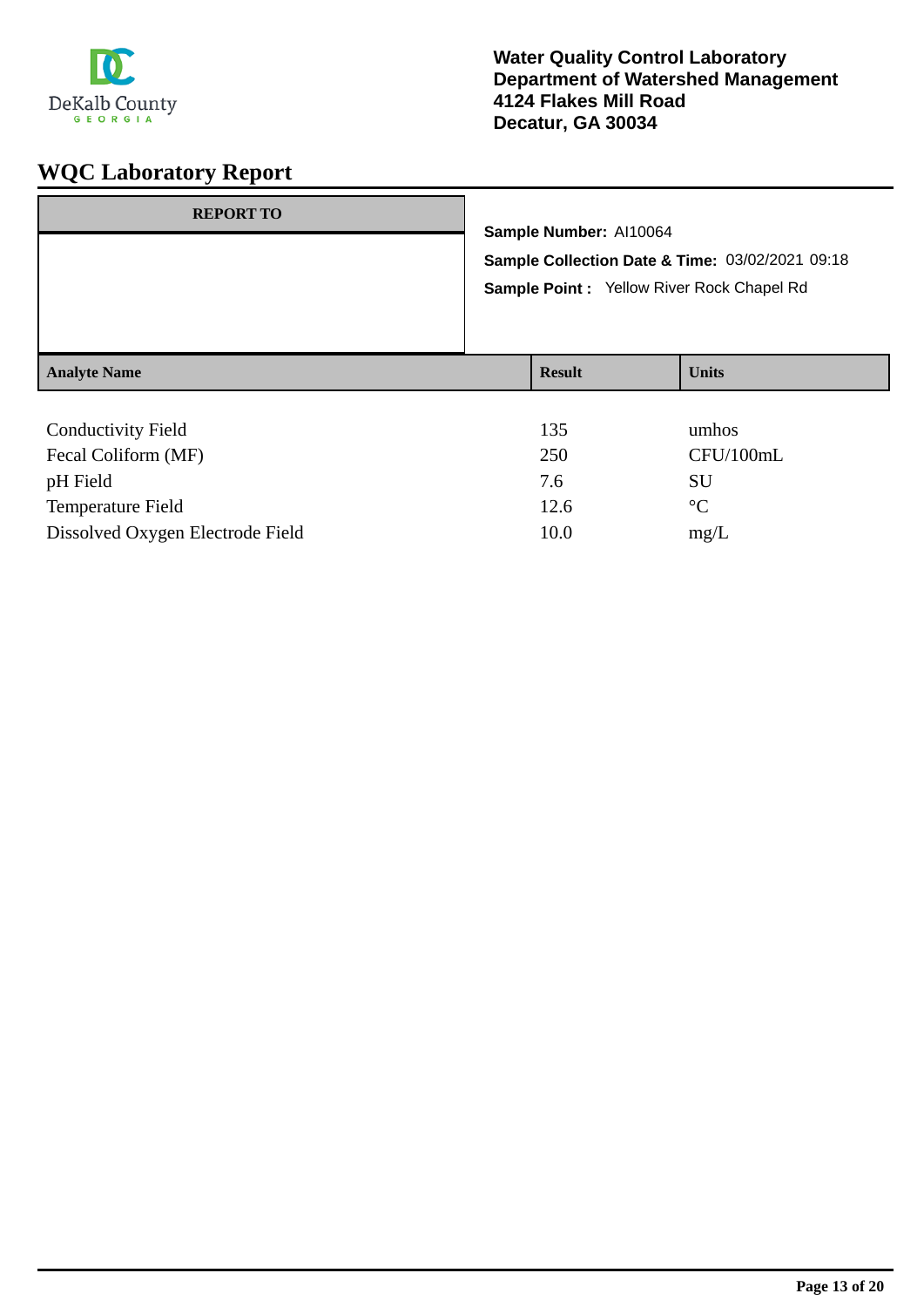

| <b>REPORT TO</b>                                                  | Sample Number: Al10064<br>Sample Collection Date & Time: 03/02/2021 09:18<br>Sample Point: Yellow River Rock Chapel Rd |                                                      |  |
|-------------------------------------------------------------------|------------------------------------------------------------------------------------------------------------------------|------------------------------------------------------|--|
| <b>Analyte Name</b>                                               | <b>Result</b>                                                                                                          | <b>Units</b>                                         |  |
| <b>Conductivity Field</b><br>$\Gamma = 1 \cap 1$ 'f $\Lambda$ IEV | 135<br>$\Delta F \Delta$                                                                                               | umhos<br>$\sqrt{N}$ $\sqrt{N}$ $\sqrt{N}$ $\sqrt{N}$ |  |

| 250  | CFU/100mL   |
|------|-------------|
| 7.6  | SU          |
| 12.6 | $^{\circ}C$ |
| 10.0 | mg/L        |
|      |             |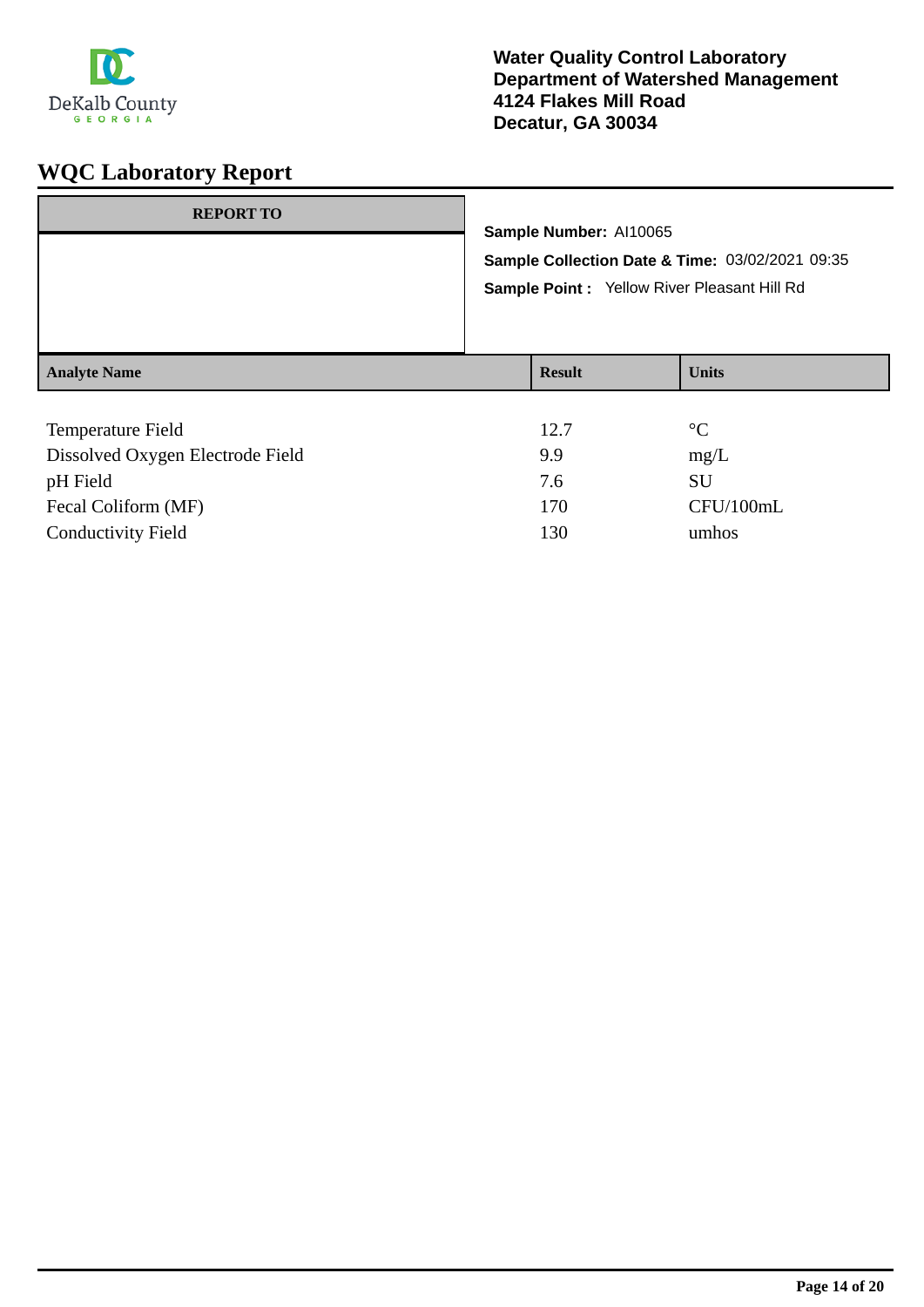

| <b>REPORT TO</b>    | Sample Number: Al10065                                                                          |              |  |
|---------------------|-------------------------------------------------------------------------------------------------|--------------|--|
|                     | Sample Collection Date & Time: 03/02/2021 09:35<br>Sample Point : Yellow River Pleasant Hill Rd |              |  |
| <b>Analyte Name</b> | <b>Result</b>                                                                                   | <b>Units</b> |  |
| Temperature Field   | 12.7                                                                                            | $^{\circ}C$  |  |

| 12.7 | $^{\circ}C$ |
|------|-------------|
| 9.9  | mg/L        |
| 7.6  | SU          |
| 170  | CFU/100mL   |
| 130  | umhos       |
|      |             |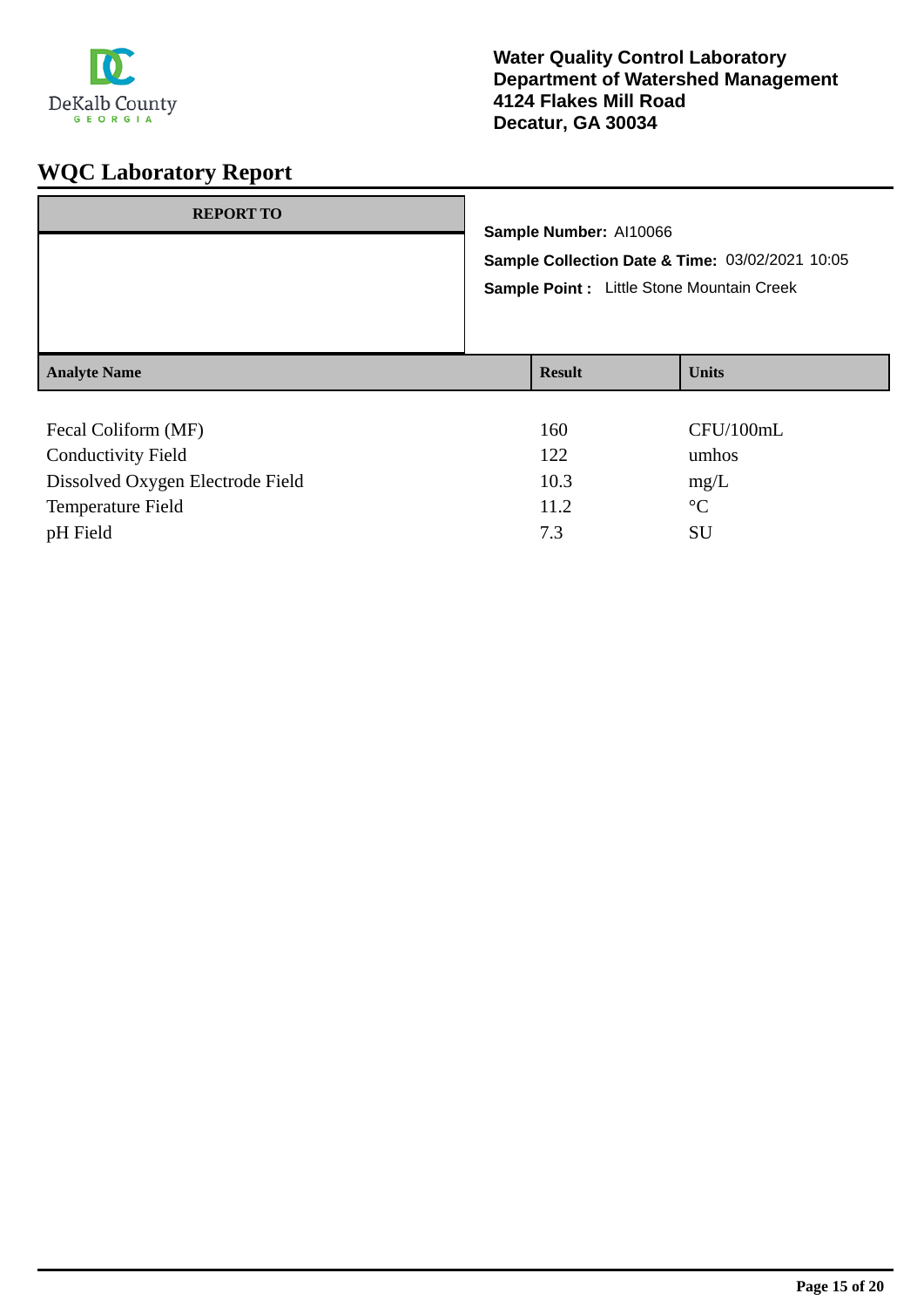

| <b>REPORT TO</b>    |                                                                           |               |              |
|---------------------|---------------------------------------------------------------------------|---------------|--------------|
|                     | Sample Number: Al10066<br>Sample Collection Date & Time: 03/02/2021 10:05 |               |              |
|                     | Sample Point : Little Stone Mountain Creek                                |               |              |
| <b>Analyte Name</b> |                                                                           | <b>Result</b> | <b>Units</b> |
| Fecal Coliform (MF) |                                                                           | 160           | CFU/100mL    |

| Tecal Comonic (IVII)             | 1 VV. | $U_{\rm UV}$ |
|----------------------------------|-------|--------------|
| <b>Conductivity Field</b>        | 122   | umhos        |
| Dissolved Oxygen Electrode Field | 10.3  | mg/L         |
| Temperature Field                | 11.2  | $\circ$ C    |
| pH Field                         | 7.3   | SU           |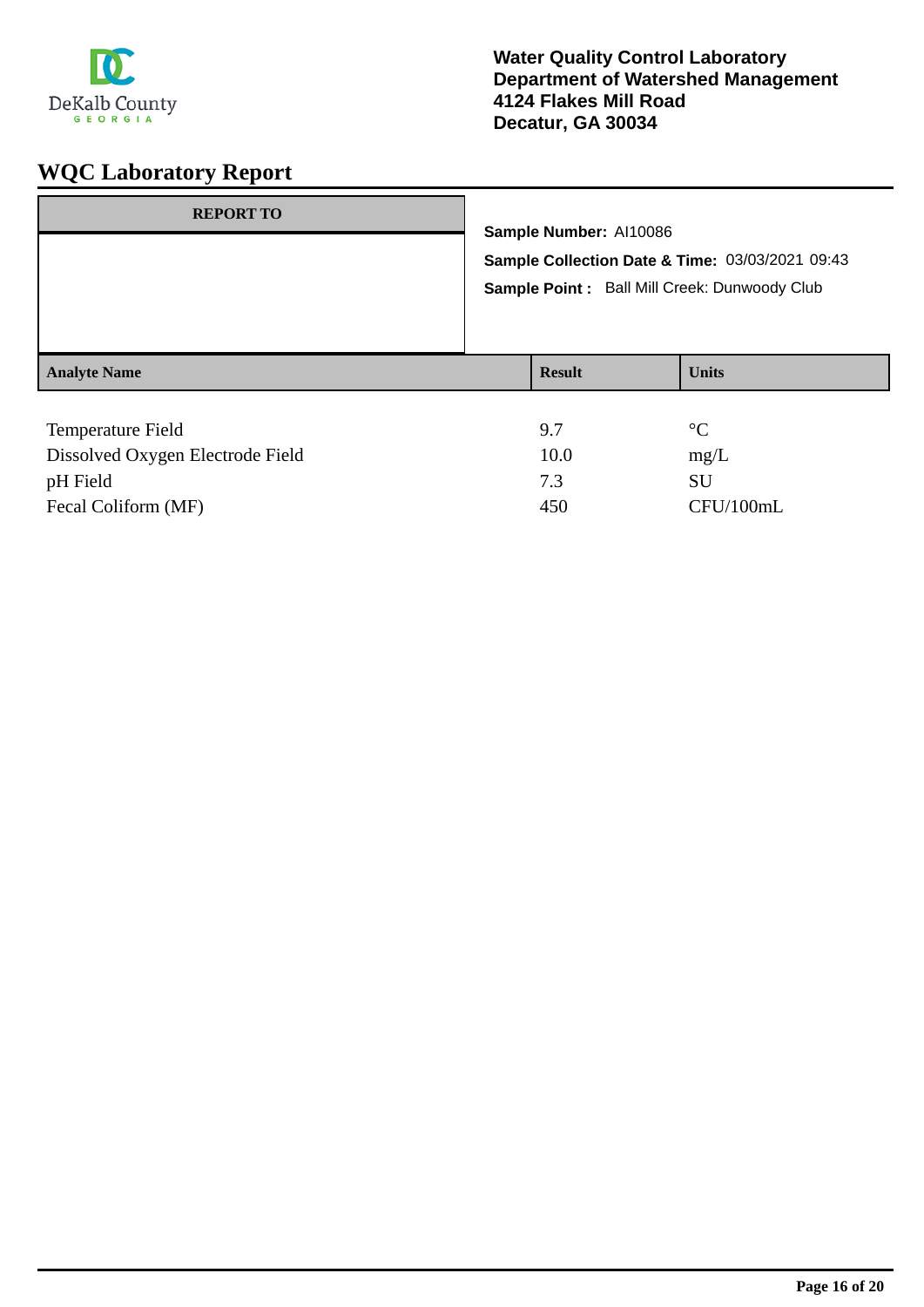

| <b>REPORT TO</b>    | Sample Number: Al10086<br>Sample Point: Ball Mill Creek: Dunwoody Club | Sample Collection Date & Time: 03/03/2021 09:43 |
|---------------------|------------------------------------------------------------------------|-------------------------------------------------|
| <b>Analyte Name</b> | <b>Result</b>                                                          | <b>Units</b>                                    |
| Temperature Field   | 9.7                                                                    | $\rm ^{\circ}C$                                 |

| 10.0 | mg/L      |
|------|-----------|
|      | SU        |
| 450  | CFU/100mL |
|      |           |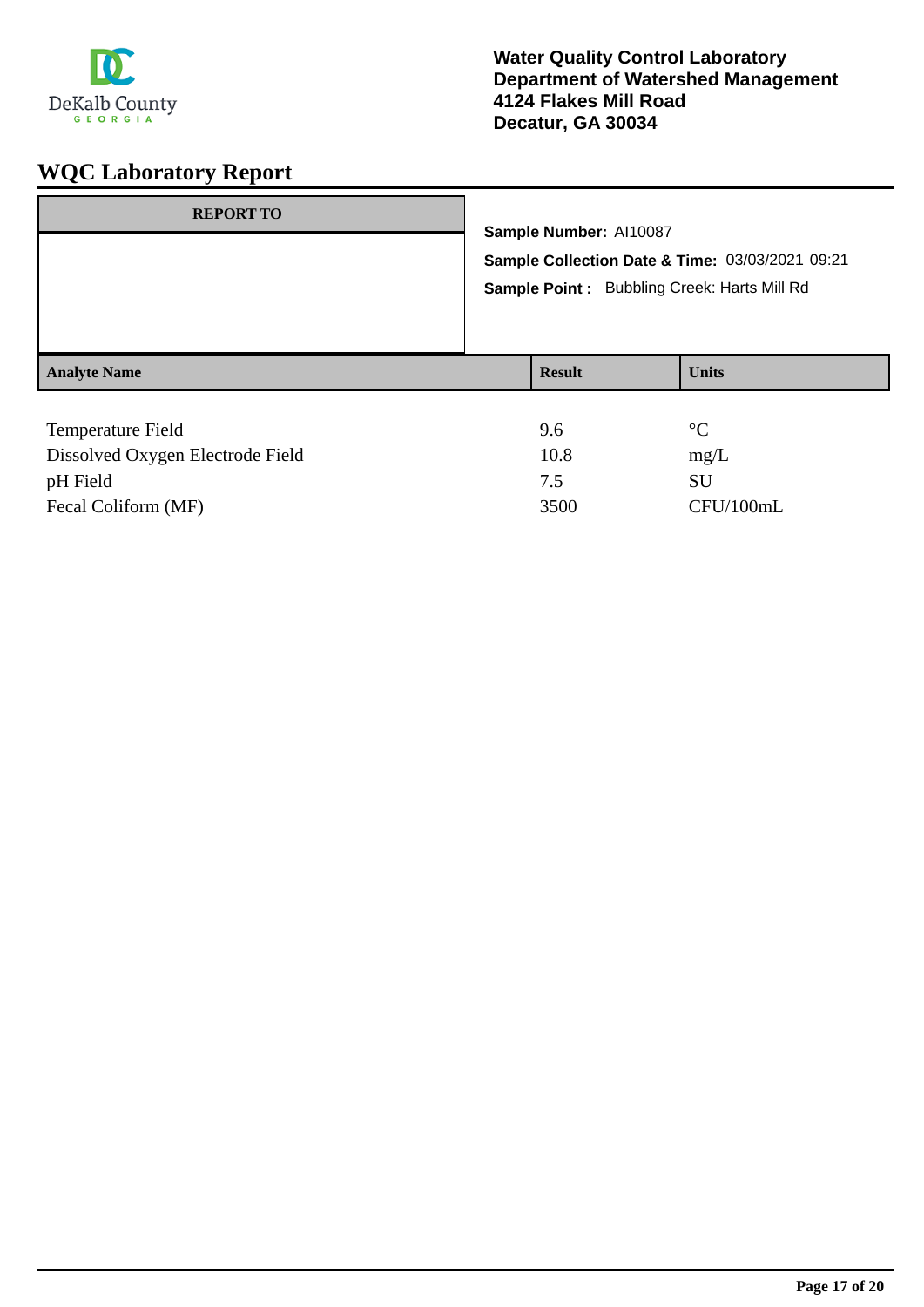

| <b>REPORT TO</b>    | Sample Number: Al10087<br>Sample Point: Bubbling Creek: Harts Mill Rd | Sample Collection Date & Time: 03/03/2021 09:21 |
|---------------------|-----------------------------------------------------------------------|-------------------------------------------------|
| <b>Analyte Name</b> | <b>Result</b>                                                         | <b>Units</b>                                    |
| Temperature Field   | 9.6                                                                   | $\rm ^{\circ}C$                                 |

| Dissolved Oxygen Electrode Field | 10.8 | mg/L      |
|----------------------------------|------|-----------|
| pH Field                         |      | SU        |
| Fecal Coliform (MF)              | 3500 | CFU/100mL |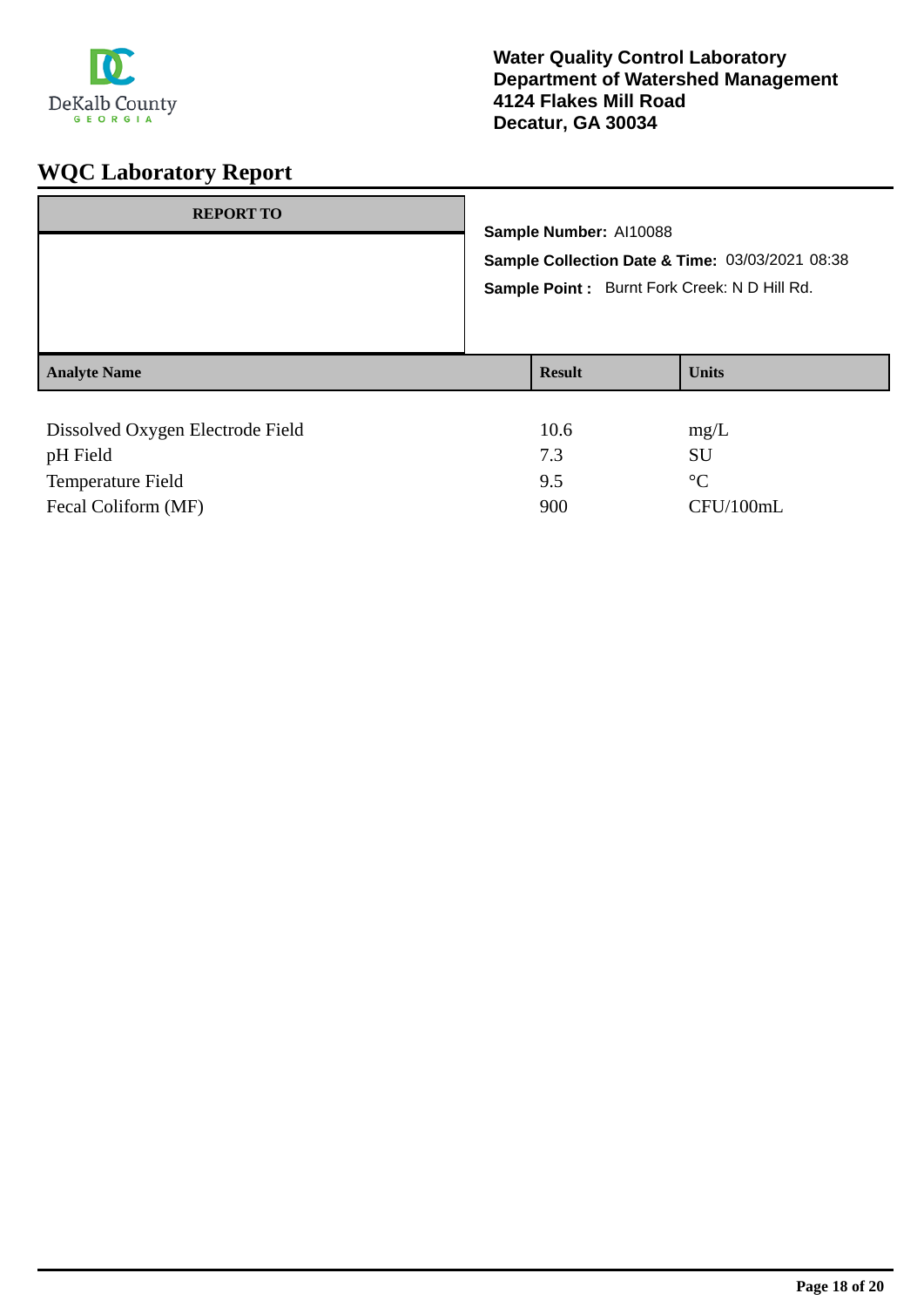

| <b>REPORT TO</b>                 | Sample Number: Al10088<br>Sample Collection Date & Time: 03/03/2021 08:38<br>Sample Point: Burnt Fork Creek: N D Hill Rd. |               |              |
|----------------------------------|---------------------------------------------------------------------------------------------------------------------------|---------------|--------------|
| <b>Analyte Name</b>              |                                                                                                                           | <b>Result</b> | <b>Units</b> |
| Dissolved Oxygen Electrode Field |                                                                                                                           | 10.6          | mg/L         |

| pH Field                 |     |           |
|--------------------------|-----|-----------|
| <b>Temperature Field</b> |     | $\circ$   |
| Fecal Coliform (MF)      | 900 | CFU/100mL |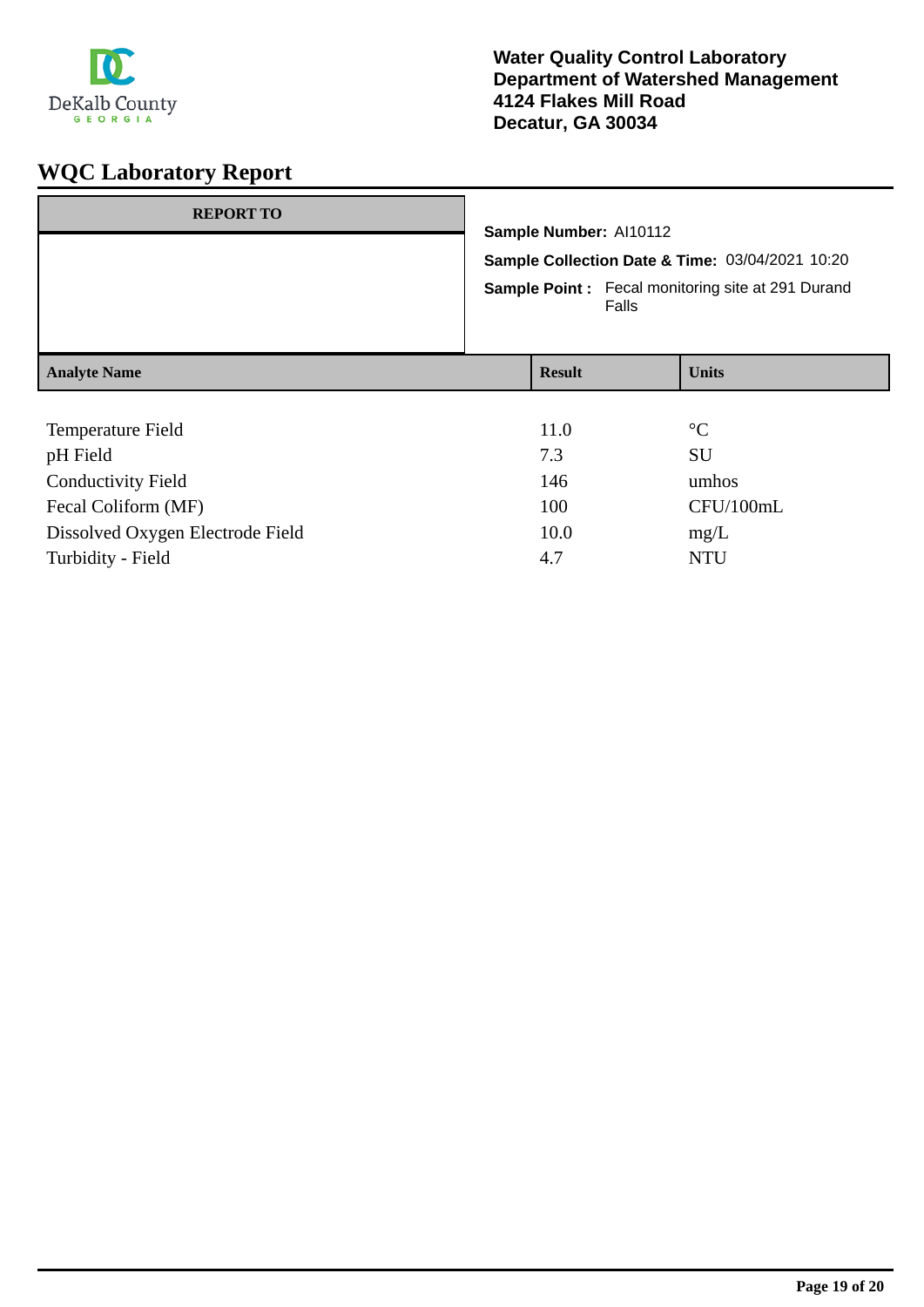

| <b>REPORT TO</b>                 |                                                                           |                                                          |                 |  |
|----------------------------------|---------------------------------------------------------------------------|----------------------------------------------------------|-----------------|--|
|                                  | Sample Number: Al10112<br>Sample Collection Date & Time: 03/04/2021 10:20 |                                                          |                 |  |
|                                  |                                                                           |                                                          |                 |  |
|                                  |                                                                           | <b>Sample Point:</b> Fecal monitoring site at 291 Durand |                 |  |
| <b>Analyte Name</b>              | <b>Result</b>                                                             |                                                          | <b>Units</b>    |  |
|                                  |                                                                           |                                                          |                 |  |
| Temperature Field                | 11.0                                                                      |                                                          | $\rm ^{\circ}C$ |  |
| pH Field                         | 7.3                                                                       |                                                          | <b>SU</b>       |  |
| <b>Conductivity Field</b>        | 146                                                                       |                                                          | umhos           |  |
| Fecal Coliform (MF)              | 100                                                                       |                                                          | CFU/100mL       |  |
| Dissolved Oxygen Electrode Field | 10.0                                                                      |                                                          | mg/L            |  |

Turbidity - Field  $4.7$  NTU